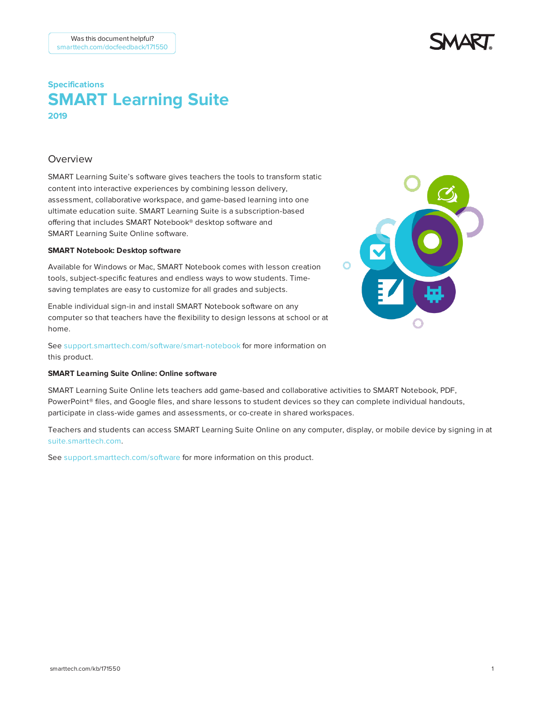# **Specifications SMART Learning Suite – 2019**

## Overview

SMART Learning Suite's software gives teachers the tools to transform static content into interactive experiences by combining lesson delivery, assessment, collaborative workspace, and game-based learning into one ultimate education suite. SMART Learning Suite is a subscription-based offering that includes SMART Notebook® desktop software and SMART Learning Suite Online software.

#### **SMART Notebook: Desktop software**

Available for Windows or Mac, SMART Notebook comes with lesson creation tools, subject-specific features and endless ways to wow students. Timesaving templates are easy to customize for all grades and subjects.

Enable individual sign-in and install SMART Notebook software on any computer so that teachers have the flexibility to design lessons at school or at home.

See [support.smarttech.com/software/smart-notebook](https://support.smarttech.com/software/smart-notebook) for more information on this product.

### **SMART Learning Suite Online: Online software**

SMART Learning Suite Online lets teachers add game-based and collaborative activities to SMART Notebook, PDF, PowerPoint® files, and Google files, and share lessons to student devices so they can complete individual handouts, participate in class-wide games and assessments, or co-create in shared workspaces.

Teachers and students can access SMART Learning Suite Online on any computer, display, or mobile device by signing in at [suite.smarttech.com](http://suite.smarttech.com/).

See [support.smarttech.com/software](https://support.smarttech.com/docs/software/smart-learning-suite-online/en/home.cshtml) for more information on this product.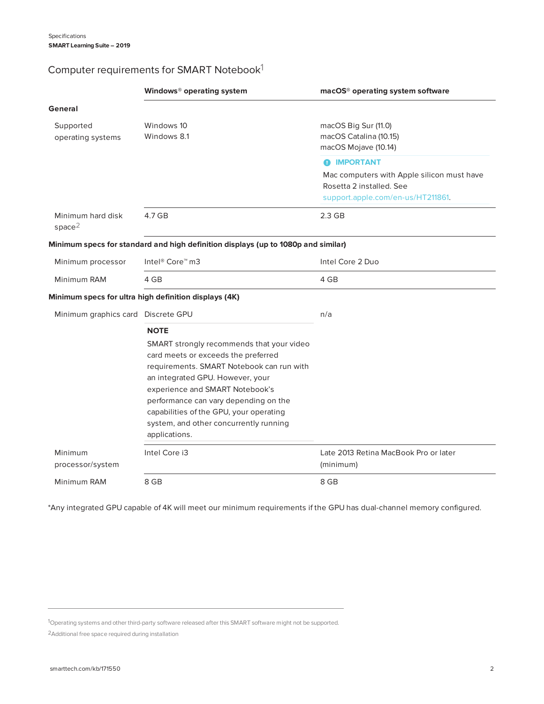# Computer requirements for SMART Notebook1

|                                         | Windows <sup>®</sup> operating system                                                                                                                                                                                                                                                                                                                              | macOS <sup>®</sup> operating system software                                                                                      |
|-----------------------------------------|--------------------------------------------------------------------------------------------------------------------------------------------------------------------------------------------------------------------------------------------------------------------------------------------------------------------------------------------------------------------|-----------------------------------------------------------------------------------------------------------------------------------|
| General                                 |                                                                                                                                                                                                                                                                                                                                                                    |                                                                                                                                   |
| Supported<br>operating systems          | Windows 10<br>Windows 8.1                                                                                                                                                                                                                                                                                                                                          | macOS Big Sur (11.0)<br>macOS Catalina (10.15)<br>macOS Mojave (10.14)                                                            |
|                                         |                                                                                                                                                                                                                                                                                                                                                                    | <b>@ IMPORTANT</b><br>Mac computers with Apple silicon must have<br>Rosetta 2 installed. See<br>support.apple.com/en-us/HT211861. |
| Minimum hard disk<br>space <sup>2</sup> | 4.7 GB                                                                                                                                                                                                                                                                                                                                                             | $2.3$ GB                                                                                                                          |
|                                         | Minimum specs for standard and high definition displays (up to 1080p and similar)                                                                                                                                                                                                                                                                                  |                                                                                                                                   |
| Minimum processor                       | Intel® Core™ m3                                                                                                                                                                                                                                                                                                                                                    | Intel Core 2 Duo                                                                                                                  |
| Minimum RAM                             | 4 GB                                                                                                                                                                                                                                                                                                                                                               | 4 GB                                                                                                                              |
|                                         | Minimum specs for ultra high definition displays (4K)                                                                                                                                                                                                                                                                                                              |                                                                                                                                   |
| Minimum graphics card Discrete GPU      |                                                                                                                                                                                                                                                                                                                                                                    | n/a                                                                                                                               |
|                                         | <b>NOTE</b><br>SMART strongly recommends that your video<br>card meets or exceeds the preferred<br>requirements. SMART Notebook can run with<br>an integrated GPU. However, your<br>experience and SMART Notebook's<br>performance can vary depending on the<br>capabilities of the GPU, your operating<br>system, and other concurrently running<br>applications. |                                                                                                                                   |
| Minimum<br>processor/system             | Intel Core i3                                                                                                                                                                                                                                                                                                                                                      | Late 2013 Retina MacBook Pro or later<br>(minimum)                                                                                |
| Minimum RAM                             | 8 GB                                                                                                                                                                                                                                                                                                                                                               | 8 GB                                                                                                                              |

\*Any integrated GPU capable of 4K will meet our minimum requirements if the GPU has dual-channel memory configured.

1Operating systems and other third-party software released after this SMART software might not be supported.

2Additional free space required during installation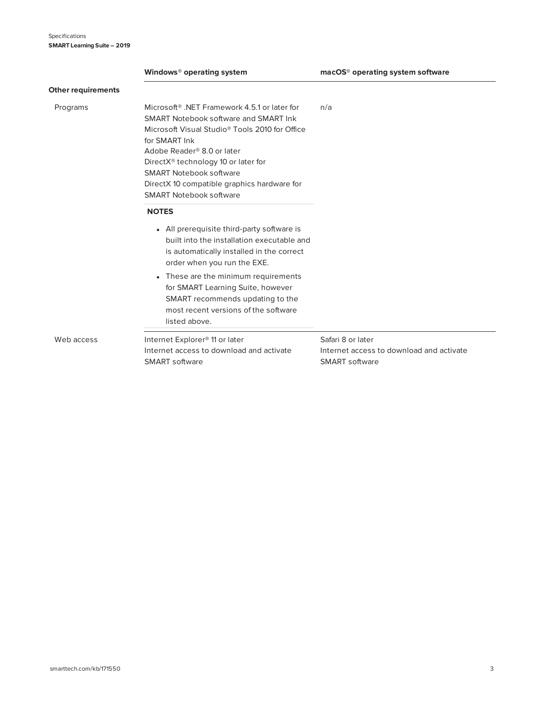|                           | Windows <sup>®</sup> operating system                                                                                                                                                                                                                                                                                                                                                            | macOS <sup>®</sup> operating system software                                    |
|---------------------------|--------------------------------------------------------------------------------------------------------------------------------------------------------------------------------------------------------------------------------------------------------------------------------------------------------------------------------------------------------------------------------------------------|---------------------------------------------------------------------------------|
| <b>Other requirements</b> |                                                                                                                                                                                                                                                                                                                                                                                                  |                                                                                 |
| Programs                  | Microsoft <sup>®</sup> .NET Framework 4.5.1 or later for<br>SMART Notebook software and SMART Ink<br>Microsoft Visual Studio <sup>®</sup> Tools 2010 for Office<br>for SMART Ink<br>Adobe Reader <sup>®</sup> 8.0 or later<br>DirectX <sup>®</sup> technology 10 or later for<br><b>SMART Notebook software</b><br>DirectX 10 compatible graphics hardware for<br><b>SMART Notebook software</b> | n/a                                                                             |
|                           | <b>NOTES</b><br>• All prerequisite third-party software is<br>built into the installation executable and<br>is automatically installed in the correct<br>order when you run the EXE.                                                                                                                                                                                                             |                                                                                 |
|                           | These are the minimum requirements<br>$\bullet$<br>for SMART Learning Suite, however<br>SMART recommends updating to the<br>most recent versions of the software<br>listed above.                                                                                                                                                                                                                |                                                                                 |
| Web access                | Internet Explorer <sup>®</sup> 11 or later<br>Internet access to download and activate<br>SMART software                                                                                                                                                                                                                                                                                         | Safari 8 or later<br>Internet access to download and activate<br>SMART software |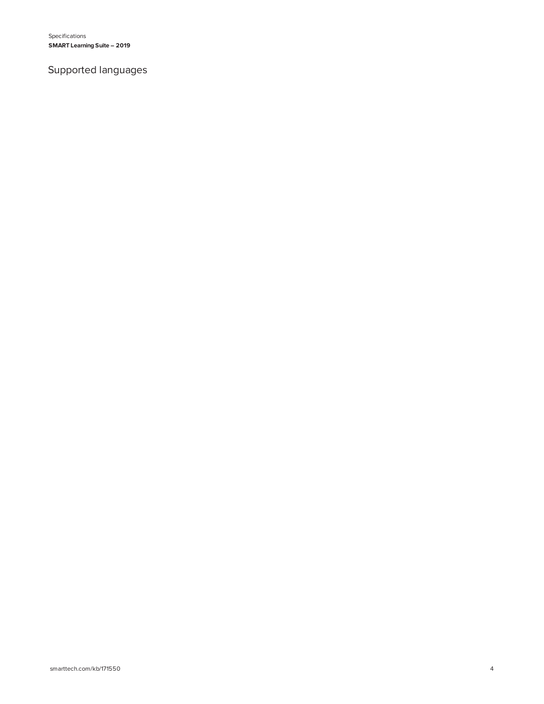Specifications **SMART Learning Suite – 2019**

# Supported languages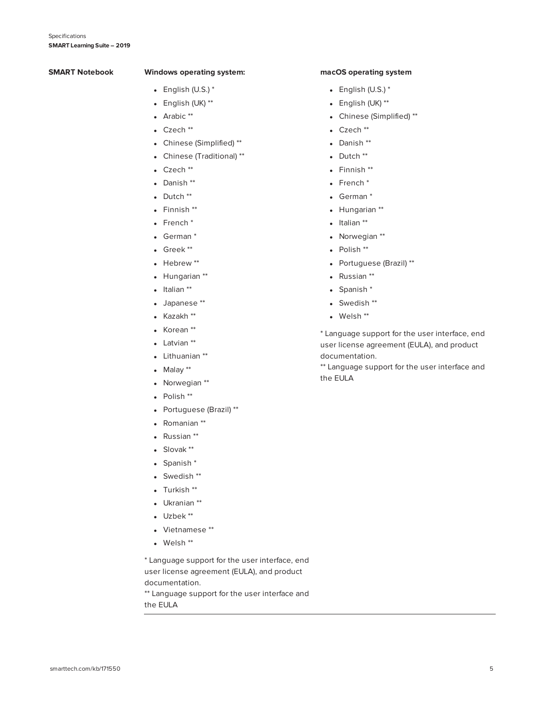#### **SMART Notebook Windows operating system:**

- $\bullet$  English (U.S.)  $^*$
- $\bullet$  English (UK) \*\*
- Arabic \*\*
- Czech \*\*
- Chinese (Simplified) \*\*
- Chinese (Traditional) \*\*
- $\cdot$  Czech  $**$
- Danish \*\*
- $\bullet$  Dutch  $^{**}$
- $\bullet$  Finnish  $**$
- $\bullet$  French  $*$
- $\bullet$  German  $^*$
- $\bullet$  Greek \*\*
- $\bullet$  Hebrew  $^{**}$
- Hungarian \*\*
- $\bullet$  Italian  $^{**}$
- Japanese \*\*
- $\bullet$  Kazakh  $^{**}$
- Korean \*\*
- Latvian \*\*
- Lithuanian \*\*
- $\bullet$  Malay  $**$
- Norwegian \*\*
- $\bullet$  Polish  $^{**}$
- Portuguese (Brazil) \*\*
- Romanian \*\*
- Russian \*\*
- $\bullet$  Slovak \*\*
- $\bullet$  Spanish  $*$
- $\bullet$  Swedish  $**$
- $\bullet$  Turkish  $^{**}$
- Ukranian \*\*
- $\bullet$  Uzbek  $^{**}$
- Vietnamese \*\*
- $\bullet$  Welsh  $^{**}$

\* Language support for the user interface, end user license agreement (EULA), and product documentation.

\*\* Language support for the user interface and the EULA

#### **macOS operating system**

- $\bullet$  English (U.S.)  $^*$
- $\bullet$  English (UK) \*\*
- Chinese (Simplified) \*\*
- $\bullet$  Czech  $**$
- Danish \*\*
- $\bullet$  Dutch  $^{**}$
- $\bullet$  Finnish  $**$
- $\bullet$  French  $^*$
- $\bullet$  German  $^*$
- Hungarian \*\*
- $\bullet$  Italian \*\*
- Norwegian \*\*
- $\bullet$  Polish  $^{**}$
- Portuguese (Brazil) \*\*
- Russian \*\*
- $\bullet$  Spanish  $^*$
- $\bullet$  Swedish  $^{**}$
- $\bullet$  Welsh  $^{**}$

\* Language support for the user interface, end user license agreement (EULA), and product documentation.

\*\* Language support for the user interface and the EULA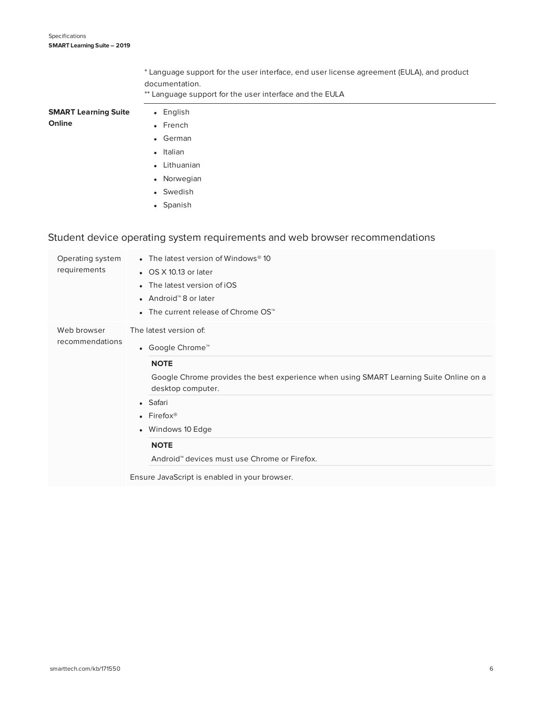\* Language support for the user interface, end user license agreement (EULA), and product documentation.

\*\* Language support for the user interface and the EULA

| <b>SMART Learning Suite</b> | • English               |
|-----------------------------|-------------------------|
| Online                      | $\bullet$ French        |
|                             | • German                |
|                             | • Italian               |
|                             | Lithuanian<br>$\bullet$ |

- Norwegian
- Swedish
- Spanish

# Student device operating system requirements and web browser recommendations

| Operating system<br>requirements | • The latest version of Windows® 10<br>• OS X 10.13 or later<br>• The latest version of iOS<br>● Android <sup>™</sup> 8 or later<br>The current release of Chrome OS™<br>$\bullet$                                                                                                                                                                  |
|----------------------------------|-----------------------------------------------------------------------------------------------------------------------------------------------------------------------------------------------------------------------------------------------------------------------------------------------------------------------------------------------------|
| Web browser<br>recommendations   | The latest version of:<br>• Google Chrome™<br><b>NOTE</b><br>Google Chrome provides the best experience when using SMART Learning Suite Online on a<br>desktop computer.<br>• Safari<br>• Firefox <sup>®</sup><br>• Windows 10 Edge<br><b>NOTE</b><br>Android™ devices must use Chrome or Firefox.<br>Ensure JavaScript is enabled in your browser. |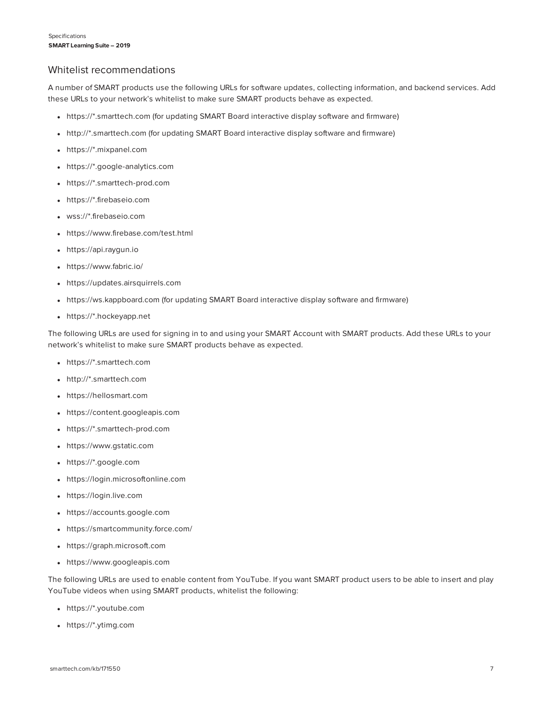## Whitelist recommendations

A number of SMART products use the following URLs for software updates, collecting information, and backend services. Add these URLs to your network's whitelist to make sure SMART products behave as expected.

- <sup>l</sup> https://\*.smarttech.com (for updating SMART Board interactive display software and firmware)
- <sup>l</sup> http://\*.smarttech.com (for updating SMART Board interactive display software and firmware)
- https://\*.mixpanel.com
- https://\*.google-analytics.com
- https://\*.smarttech-prod.com
- https://\*.firebaseio.com
- wss://\*.firebaseio.com
- https://www.firebase.com/test.html
- https://api.raygun.io
- https://www.fabric.io/
- https://updates.airsquirrels.com
- https://ws.kappboard.com (for updating SMART Board interactive display software and firmware)
- https://\*.hockeyapp.net

The following URLs are used for signing in to and using your SMART Account with SMART products. Add these URLs to your network's whitelist to make sure SMART products behave as expected.

- https://\*.smarttech.com
- http://\*.smarttech.com
- https://hellosmart.com
- https://content.googleapis.com
- https://\*.smarttech-prod.com
- https://www.gstatic.com
- https://\*.google.com
- https://login.microsoftonline.com
- https://login.live.com
- https://accounts.google.com
- https://smartcommunity.force.com/
- https://graph.microsoft.com
- https://www.googleapis.com

The following URLs are used to enable content from YouTube. If you want SMART product users to be able to insert and play YouTube videos when using SMART products, whitelist the following:

- https://\*.youtube.com
- https://\*.ytimg.com